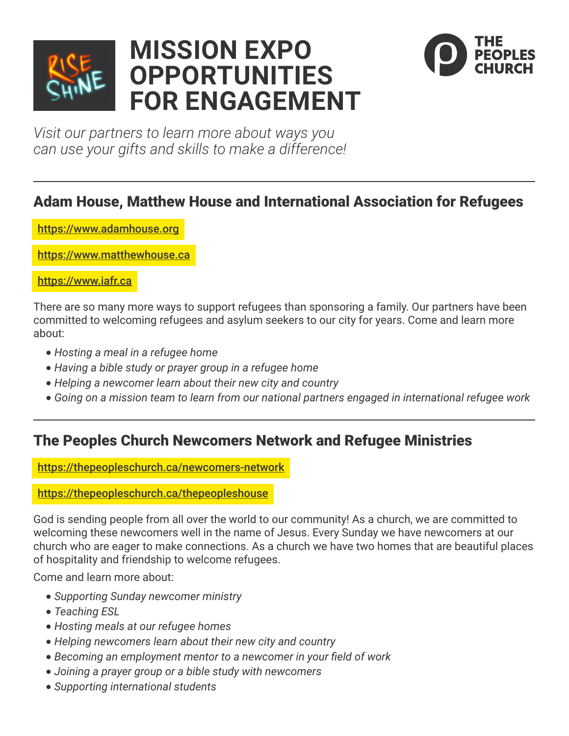

# **MISSION EXPO OPPORTUNITIES FOR ENGAGEMENT**



*Visit our partners to learn more about ways you can use your gifts and skills to make a difference!*

# Adam House, Matthew House and International Association for Refugees

[https://www.adamhouse.org](https://www.adamhouse.org/ )

<https://www.matthewhouse.ca>

<https://www.iafr.ca>

There are so many more ways to support refugees than sponsoring a family. Our partners have been committed to welcoming refugees and asylum seekers to our city for years. Come and learn more about:

- **•** *Hosting a meal in a refugee home*
- **•** *Having a bible study or prayer group in a refugee home*
- **•** *Helping a newcomer learn about their new city and country*
- **•** *Going on a mission team to learn from our national partners engaged in international refugee work*

# The Peoples Church Newcomers Network and Refugee Ministries

<https://thepeopleschurch.ca/newcomers-network>

#### <https://thepeopleschurch.ca/thepeopleshouse>

God is sending people from all over the world to our community! As a church, we are committed to welcoming these newcomers well in the name of Jesus. Every Sunday we have newcomers at our church who are eager to make connections. As a church we have two homes that are beautiful places of hospitality and friendship to welcome refugees.

- **•** *Supporting Sunday newcomer ministry*
- **•** *Teaching ESL*
- **•** *Hosting meals at our refugee homes*
- **•** *Helping newcomers learn about their new city and country*
- **•** *Becoming an employment mentor to a newcomer in your field of work*
- **•** *Joining a prayer group or a bible study with newcomers*
- **•** *Supporting international students*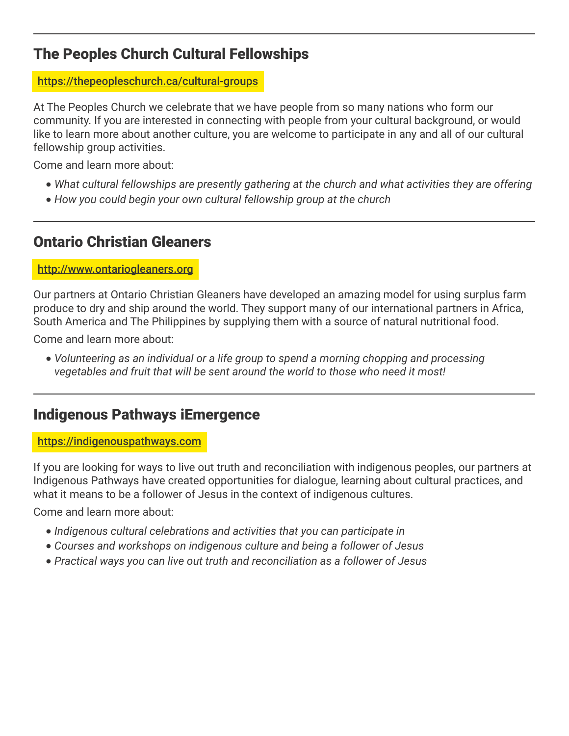# The Peoples Church Cultural Fellowships

#### <https://thepeopleschurch.ca/cultural-groups>

At The Peoples Church we celebrate that we have people from so many nations who form our community. If you are interested in connecting with people from your cultural background, or would like to learn more about another culture, you are welcome to participate in any and all of our cultural fellowship group activities.

Come and learn more about:

- **•** *What cultural fellowships are presently gathering at the church and what activities they are offering*
- **•** *How you could begin your own cultural fellowship group at the church*

# Ontario Christian Gleaners

#### <http://www.ontariogleaners.org>

Our partners at Ontario Christian Gleaners have developed an amazing model for using surplus farm produce to dry and ship around the world. They support many of our international partners in Africa, South America and The Philippines by supplying them with a source of natural nutritional food.

Come and learn more about:

**•** *Volunteering as an individual or a life group to spend a morning chopping and processing vegetables and fruit that will be sent around the world to those who need it most!*

### Indigenous Pathways iEmergence

#### <https://indigenouspathways.com>

If you are looking for ways to live out truth and reconciliation with indigenous peoples, our partners at Indigenous Pathways have created opportunities for dialogue, learning about cultural practices, and what it means to be a follower of Jesus in the context of indigenous cultures.

- **•** *Indigenous cultural celebrations and activities that you can participate in*
- **•** *Courses and workshops on indigenous culture and being a follower of Jesus*
- **•** *Practical ways you can live out truth and reconciliation as a follower of Jesus*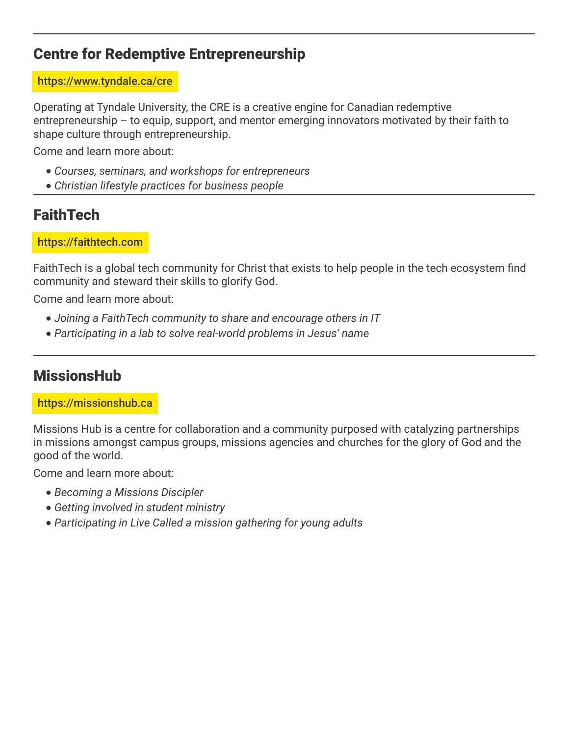### Centre for Redemptive Entrepreneurship

#### <https://www.tyndale.ca/cre>

Operating at Tyndale University, the CRE is a creative engine for Canadian redemptive entrepreneurship – to equip, support, and mentor emerging innovators motivated by their faith to shape culture through entrepreneurship.

Come and learn more about:

- **•** *Courses, seminars, and workshops for entrepreneurs*
- **•** *Christian lifestyle practices for business people*

# **FaithTech**

#### <https://faithtech.com>

FaithTech is a global tech community for Christ that exists to help people in the tech ecosystem find community and steward their skills to glorify God.

Come and learn more about:

- **•** *Joining a FaithTech community to share and encourage others in IT*
- **•** *Participating in a lab to solve real-world problems in Jesus' name*

# **MissionsHub**

#### <https://missionshub.ca>

Missions Hub is a centre for collaboration and a community purposed with catalyzing partnerships in missions amongst campus groups, missions agencies and churches for the glory of God and the good of the world.

- **•** *Becoming a Missions Discipler*
- **•** *Getting involved in student ministry*
- **•** *Participating in Live Called a mission gathering for young adults*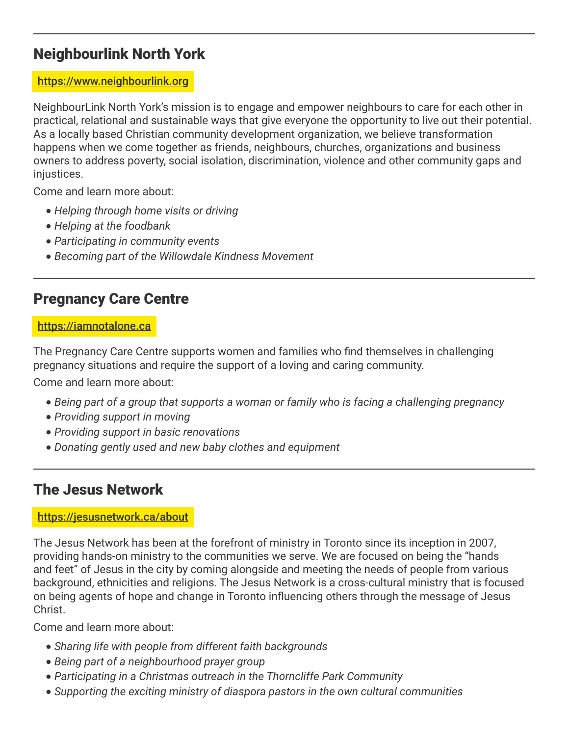# Neighbourlink North York

#### <https://www.neighbourlink.org>

NeighbourLink North York's mission is to engage and empower neighbours to care for each other in practical, relational and sustainable ways that give everyone the opportunity to live out their potential. As a locally based Christian community development organization, we believe transformation happens when we come together as friends, neighbours, churches, organizations and business owners to address poverty, social isolation, discrimination, violence and other community gaps and injustices.

Come and learn more about:

- **•** *Helping through home visits or driving*
- **•** *Helping at the foodbank*
- **•** *Participating in community events*
- **•** *Becoming part of the Willowdale Kindness Movement*

### Pregnancy Care Centre

#### <https://iamnotalone.ca>

The Pregnancy Care Centre supports women and families who find themselves in challenging pregnancy situations and require the support of a loving and caring community.

Come and learn more about:

- **•** *Being part of a group that supports a woman or family who is facing a challenging pregnancy*
- **•** *Providing support in moving*
- **•** *Providing support in basic renovations*
- **•** *Donating gently used and new baby clothes and equipment*

### The Jesus Network

#### <https://jesusnetwork.ca/about>

The Jesus Network has been at the forefront of ministry in Toronto since its inception in 2007, providing hands-on ministry to the communities we serve. We are focused on being the "hands and feet" of Jesus in the city by coming alongside and meeting the needs of people from various background, ethnicities and religions. The Jesus Network is a cross-cultural ministry that is focused on being agents of hope and change in Toronto influencing others through the message of Jesus Christ.

- **•** *Sharing life with people from different faith backgrounds*
- **•** *Being part of a neighbourhood prayer group*
- **•** *Participating in a Christmas outreach in the Thorncliffe Park Community*
- **•** *Supporting the exciting ministry of diaspora pastors in the own cultural communities*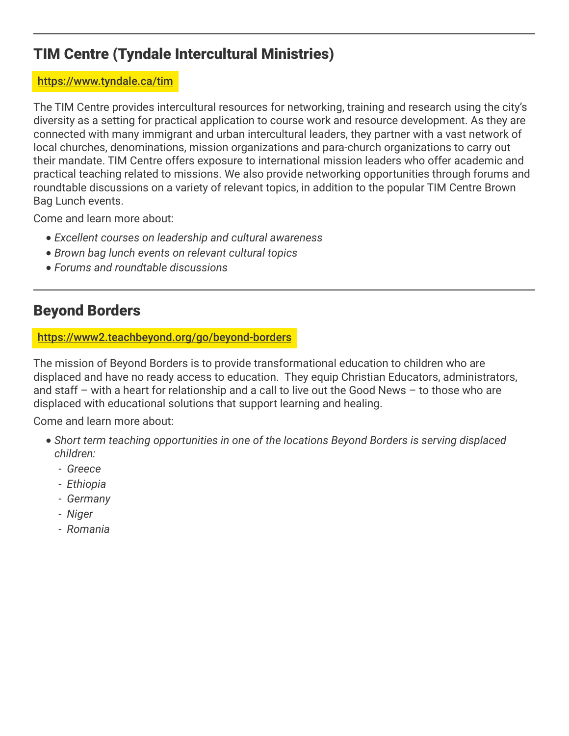# TIM Centre (Tyndale Intercultural Ministries)

#### <https://www.tyndale.ca/tim>

The TIM Centre provides intercultural resources for networking, training and research using the city's diversity as a setting for practical application to course work and resource development. As they are connected with many immigrant and urban intercultural leaders, they partner with a vast network of local churches, denominations, mission organizations and para-church organizations to carry out their mandate. TIM Centre offers exposure to international mission leaders who offer academic and practical teaching related to missions. We also provide networking opportunities through forums and roundtable discussions on a variety of relevant topics, in addition to the popular TIM Centre Brown Bag Lunch events.

Come and learn more about:

- **•** *Excellent courses on leadership and cultural awareness*
- **•** *Brown bag lunch events on relevant cultural topics*
- **•** *Forums and roundtable discussions*

# Beyond Borders

<https://www2.teachbeyond.org/go/beyond-borders>

The mission of Beyond Borders is to provide transformational education to children who are displaced and have no ready access to education. They equip Christian Educators, administrators, and staff – with a heart for relationship and a call to live out the Good News – to those who are displaced with educational solutions that support learning and healing.

- **•** *Short term teaching opportunities in one of the locations Beyond Borders is serving displaced children:*
	- *Greece*
	- *Ethiopia*
	- *Germany*
	- *Niger*
	- *Romania*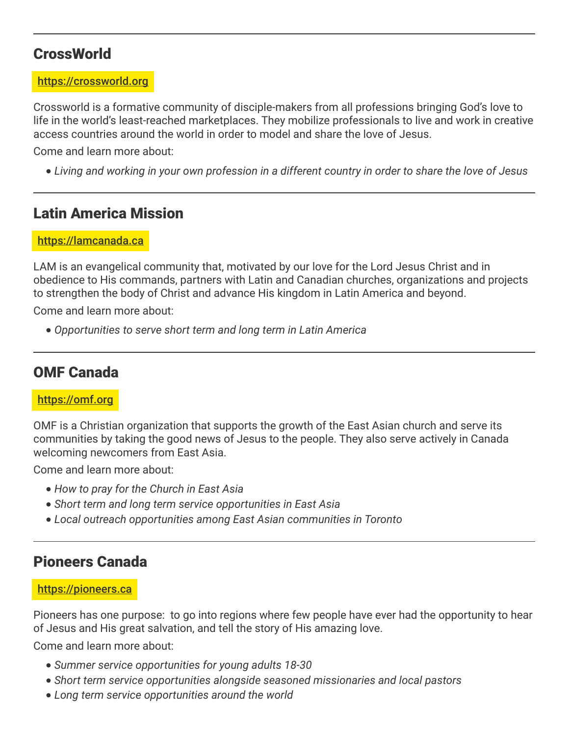### **CrossWorld**

#### <https://crossworld.org>

Crossworld is a formative community of disciple-makers from all professions bringing God's love to life in the world's least-reached marketplaces. They mobilize professionals to live and work in creative access countries around the world in order to model and share the love of Jesus.

Come and learn more about:

**•** *Living and working in your own profession in a different country in order to share the love of Jesus*

### Latin America Mission

<https://lamcanada.ca>

LAM is an evangelical community that, motivated by our love for the Lord Jesus Christ and in obedience to His commands, partners with Latin and Canadian churches, organizations and projects to strengthen the body of Christ and advance His kingdom in Latin America and beyond.

Come and learn more about:

**•** *Opportunities to serve short term and long term in Latin America*

### OMF Canada

#### <https://omf.org>

OMF is a Christian organization that supports the growth of the East Asian church and serve its communities by taking the good news of Jesus to the people. They also serve actively in Canada welcoming newcomers from East Asia.

Come and learn more about:

- **•** *How to pray for the Church in East Asia*
- **•** *Short term and long term service opportunities in East Asia*
- **•** *Local outreach opportunities among East Asian communities in Toronto*

### Pioneers Canada

#### <https://pioneers.ca>

Pioneers has one purpose: to go into regions where few people have ever had the opportunity to hear of Jesus and His great salvation, and tell the story of His amazing love.

- **•** *Summer service opportunities for young adults 18-30*
- **•** *Short term service opportunities alongside seasoned missionaries and local pastors*
- **•** *Long term service opportunities around the world*